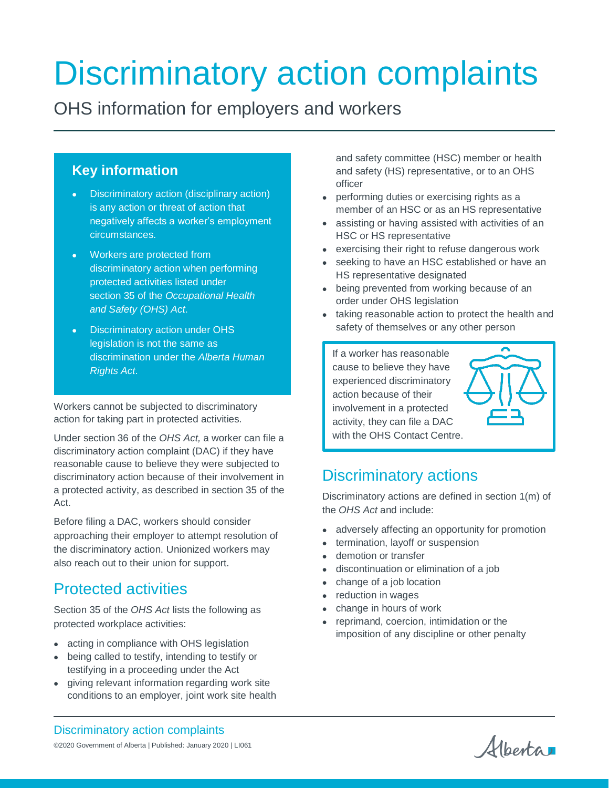# Discriminatory action complaints

OHS information for employers and workers

## **Key information**

- Discriminatory action (disciplinary action) is any action or threat of action that negatively affects a worker's employment circumstances.
- Workers are protected from discriminatory action when performing protected activities listed under section 35 of the *Occupational Health and Safety (OHS) Act*.
- Discriminatory action under OHS legislation is not the same as discrimination under the *Alberta Human Rights Act*.

Workers cannot be subjected to discriminatory action for taking part in protected activities.

Under section 36 of the *OHS Act,* a worker can file a discriminatory action complaint (DAC) if they have reasonable cause to believe they were subjected to discriminatory action because of their involvement in a protected activity, as described in section 35 of the Act.

Before filing a DAC, workers should consider approaching their employer to attempt resolution of the discriminatory action. Unionized workers may also reach out to their union for support.

## Protected activities

Section 35 of the *OHS Act* lists the following as protected workplace activities:

- acting in compliance with OHS legislation
- being called to testify, intending to testify or testifying in a proceeding under the Act
- giving relevant information regarding work site conditions to an employer, joint work site health

and safety committee (HSC) member or health and safety (HS) representative, or to an OHS officer

- performing duties or exercising rights as a member of an HSC or as an HS representative
- assisting or having assisted with activities of an HSC or HS representative
- exercising their right to refuse dangerous work
- seeking to have an HSC established or have an HS representative designated
- being prevented from working because of an order under OHS legislation
- taking reasonable action to protect the health and safety of themselves or any other person

If a worker has reasonable cause to believe they have experienced discriminatory action because of their involvement in a protected activity, they can file a DAC with the OHS Contact Centre.



## Discriminatory actions

Discriminatory actions are defined in section 1(m) of the *OHS Act* and include:

- adversely affecting an opportunity for promotion
- termination, layoff or suspension
- demotion or transfer
- discontinuation or elimination of a job
- change of a job location
- reduction in wages
- change in hours of work
- reprimand, coercion, intimidation or the imposition of any discipline or other penalty

Albertan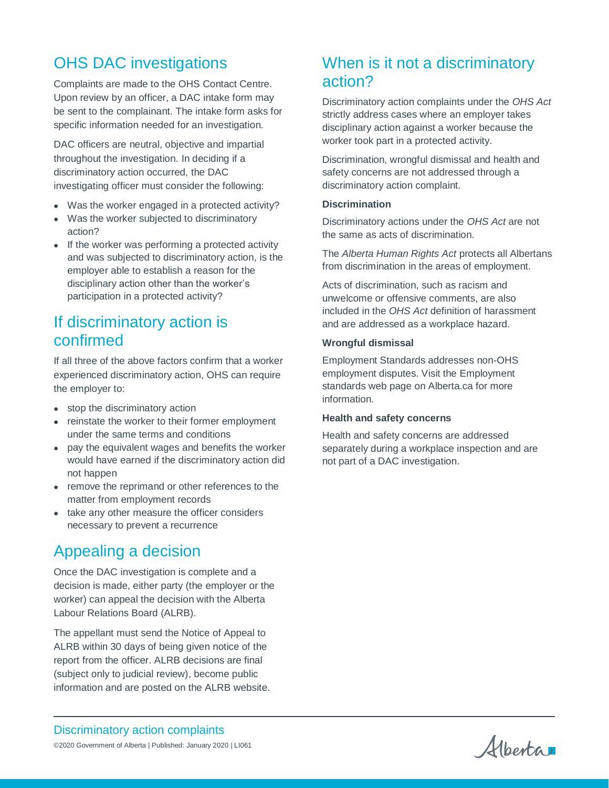# OHS DAC investigations

Complaints are made to the OHS Contact Centre. Upon review by an officer, a DAC intake form may be sent to the complainant. The intake form asks for specific information needed for an investigation.

DAC officers are neutral, objective and impartial throughout the investigation. In deciding if a discriminatory action occurred, the DAC investigating officer must consider the following:

- Was the worker engaged in a protected activity?
- Was the worker subjected to discriminatory action?
- If the worker was performing a protected activity and was subjected to discriminatory action, is the employer able to establish a reason for the disciplinary action other than the worker's participation in a protected activity?

## If discriminatory action is confirmed

If all three of the above factors confirm that a worker experienced discriminatory action, OHS can require the employer to:

- stop the discriminatory action
- reinstate the worker to their former employment under the same terms and conditions
- pay the equivalent wages and benefits the worker would have earned if the discriminatory action did not happen
- remove the reprimand or other references to the matter from employment records
- take any other measure the officer considers necessary to prevent a recurrence

# Appealing a decision

Once the DAC investigation is complete and a decision is made, either party (the employer or the worker) can appeal the decision with the Alberta Labour Relations Board (ALRB).

The appellant must send the Notice of Appeal to ALRB within 30 days of being given notice of the report from the officer. ALRB decisions are final (subject only to judicial review), become public information and are posted on the ALRB website.

## When is it not a discriminatory action?

Discriminatory action complaints under the *OHS Act*  strictly address cases where an employer takes disciplinary action against a worker because the worker took part in a protected activity.

Discrimination, wrongful dismissal and health and safety concerns are not addressed through a discriminatory action complaint.

#### **Discrimination**

Discriminatory actions under the *OHS Act* are not the same as acts of discrimination.

The *Alberta Human Rights Act* protects all Albertans from discrimination in the areas of employment.

Acts of discrimination, such as racism and unwelcome or offensive comments, are also included in the *OHS Act* definition of harassment and are addressed as a workplace hazard.

#### **Wrongful dismissal**

Employment Standards addresses non-OHS employment disputes. Visit the Employment standards web page on Alberta.ca for more information.

#### **Health and safety concerns**

Health and safety concerns are addressed separately during a workplace inspection and are not part of a DAC investigation.

Discriminatory action complaints ©2020 Government of Alberta | Published: January 2020 | LI061